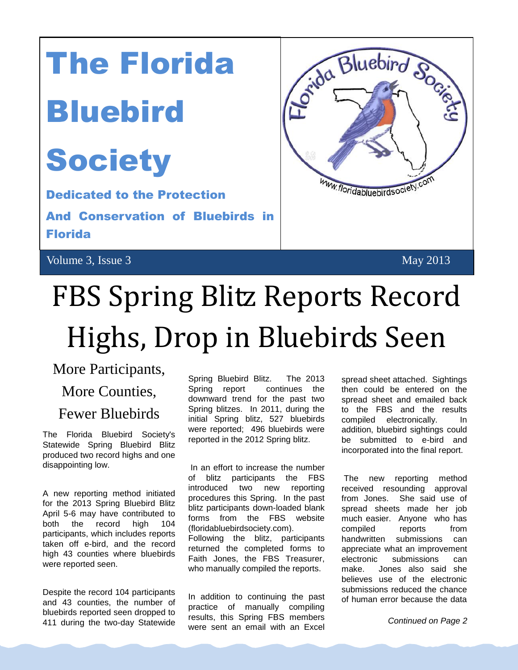## The Florida

### Bluebird

## **Society**

 Dedicated to the Protection

And Conservation of Bluebirds in Florida

Volume 3, Issue  $3 \times 2013$ 

# Co<sup>rida</sup> Bluebird Social www.floridabluebirdsociety.com

## FBS Spring Blitz Reports Record Highs, Drop in Bluebirds Seen

More Participants,

More Counties, Fewer Bluebirds

The Florida Bluebird Society's Statewide Spring Bluebird Blitz produced two record highs and one disappointing low.

A new reporting method initiated for the 2013 Spring Bluebird Blitz April 5-6 may have contributed to both the record high 104 participants, which includes reports taken off e-bird, and the record high 43 counties where bluebirds were reported seen.

Despite the record 104 participants and 43 counties, the number of bluebirds reported seen dropped to 411 during the two-day Statewide

Spring Bluebird Blitz. The 2013 Spring report continues the downward trend for the past two Spring blitzes. In 2011, during the initial Spring blitz, 527 bluebirds were reported; 496 bluebirds were reported in the 2012 Spring blitz.

In an effort to increase the number of blitz participants the FBS introduced two new reporting procedures this Spring. In the past blitz participants down-loaded blank forms from the FBS website (floridabluebirdsociety.com). Following the blitz, participants returned the completed forms to Faith Jones, the FBS Treasurer, who manually compiled the reports.

In addition to continuing the past practice of manually compiling results, this Spring FBS members were sent an email with an Excel

spread sheet attached. Sightings then could be entered on the spread sheet and emailed back to the FBS and the results compiled electronically. In addition, bluebird sightings could be submitted to e-bird and incorporated into the final report.

The new reporting method received resounding approval from Jones. She said use of spread sheets made her job much easier. Anyone who has compiled reports from handwritten submissions can appreciate what an improvement electronic submissions can make. Jones also said she believes use of the electronic submissions reduced the chance of human error because the data

*Continued on Page 2*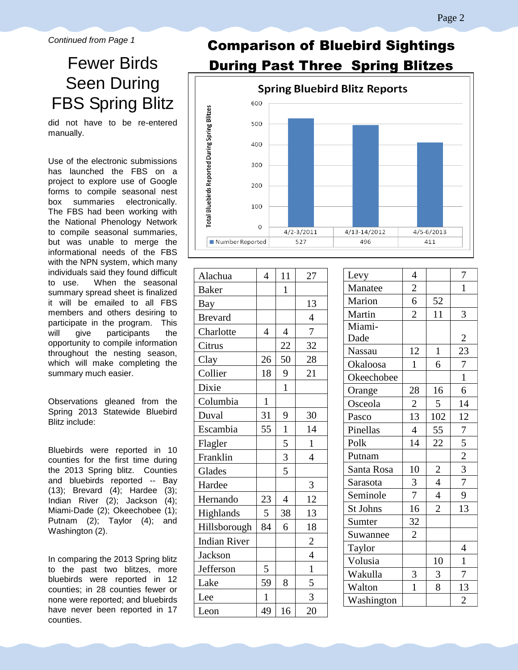#### *Continued from Page 1*

#### Fewer Birds Seen During FBS Spring Blitz

did not have to be re-entered manually.

Use of the electronic submissions has launched the FBS on a project to explore use of Google forms to compile seasonal nest box summaries electronically. The FBS had been working with the National Phenology Network to compile seasonal summaries, but was unable to merge the informational needs of the FBS with the NPN system, which many individuals said they found difficult to use. When the seasonal summary spread sheet is finalized it will be emailed to all FBS members and others desiring to participate in the program. This will give participants the opportunity to compile information throughout the nesting season, which will make completing the summary much easier.

Observations gleaned from the Spring 2013 Statewide Bluebird Blitz include:

Bluebirds were reported in 10 counties for the first time during the 2013 Spring blitz. Counties and bluebirds reported -- Bay (13); Brevard (4); Hardee (3); Indian River (2); Jackson (4); Miami-Dade (2); Okeechobee (1); Putnam (2); Taylor (4); and Washington (2).

In comparing the 2013 Spring blitz to the past two blitzes, more bluebirds were reported in 12 counties; in 28 counties fewer or none were reported; and bluebirds have never been reported in 17 counties.

#### Comparison of Bluebird Sightings During Past Three Spring Blitzes



| Alachua             | $\overline{4}$ | 11             | 27                       |
|---------------------|----------------|----------------|--------------------------|
| <b>Baker</b>        |                | $\mathbf{1}$   |                          |
| Bay                 |                |                | 13                       |
| <b>Brevard</b>      |                |                | $\overline{\mathcal{A}}$ |
| Charlotte           | $\overline{4}$ | $\overline{4}$ | $\overline{7}$           |
| Citrus              |                | 22             | 32                       |
| Clay                | 26             | 50             | 28                       |
| Collier             | 18             | 9              | 21                       |
| Dixie               |                | $\mathbf{1}$   |                          |
| Columbia            | $\mathbf{1}$   |                |                          |
| Duval               | 31             | 9              | 30                       |
| Escambia            | 55             | $\,1$          | 14                       |
| Flagler             |                |                | $\,1$                    |
| Franklin            |                | $\frac{5}{3}$  | $\overline{4}$           |
| Glades              |                |                |                          |
| Hardee              |                |                | 3                        |
| Hernando            | 23             | $\overline{4}$ | 12                       |
| Highlands           | 5              | 38             | 13                       |
| Hillsborough        | 84             | 6              | 18                       |
| <b>Indian River</b> |                |                | $\overline{c}$           |
| Jackson             |                |                | $\overline{4}$           |
| Jefferson           | 5              |                | $\mathbf{1}$             |
| Lake                | 59             | 8              | 5                        |
| Lee                 | $\mathbf{1}$   |                | 3                        |
| Leon                | 49             | 16             | 20                       |

| 4              |                                                                                | 7                                         |
|----------------|--------------------------------------------------------------------------------|-------------------------------------------|
|                |                                                                                | 1                                         |
| 6              |                                                                                |                                           |
| $\overline{2}$ | 11                                                                             | 3                                         |
|                |                                                                                |                                           |
|                |                                                                                | $\overline{c}$                            |
| 12             | $\mathbf{1}$                                                                   |                                           |
| $\mathbf{1}$   | 6                                                                              | $\frac{23}{7}$                            |
|                |                                                                                |                                           |
|                | 16                                                                             | 6                                         |
|                | 5                                                                              | $\overline{14}$                           |
|                | 102                                                                            | $\overline{12}$                           |
| $\overline{4}$ | 55                                                                             |                                           |
| 14             | 22                                                                             |                                           |
|                |                                                                                | $\frac{7}{5}$ $\frac{2}{3}$ $\frac{3}{7}$ |
| 10             |                                                                                |                                           |
|                |                                                                                |                                           |
| $\overline{7}$ |                                                                                | $\overline{9}$                            |
| 16             |                                                                                | 13                                        |
| 32             |                                                                                |                                           |
| $\overline{c}$ |                                                                                |                                           |
|                |                                                                                | $\overline{4}$                            |
|                | 10                                                                             | $\mathbf{1}$                              |
| 3              | $\overline{\mathbf{3}}$                                                        | $\boldsymbol{7}$                          |
| $\overline{1}$ | 8                                                                              | 13                                        |
|                |                                                                                | $\overline{c}$                            |
|                | $\overline{2}$<br>$\frac{28}{2}$<br>$\overline{13}$<br>$\overline{\mathbf{3}}$ | 52<br>$\frac{2}{4}$<br>$\frac{4}{2}$      |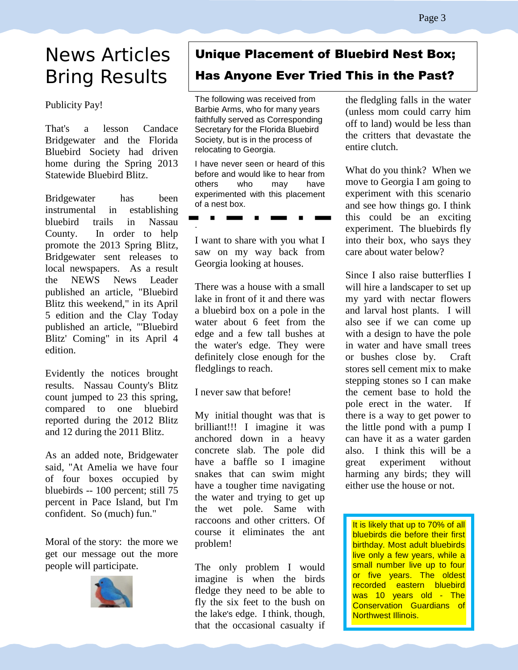#### News Articles Bring Results

Publicity Pay!

That's a lesson Candace Bridgewater and the Florida Bluebird Society had driven home during the Spring 2013 Statewide Bluebird Blitz.

Bridgewater has been instrumental in establishing bluebird trails in Nassau County. In order to help promote the 2013 Spring Blitz, Bridgewater sent releases to local newspapers. As a result the NEWS News Leader published an article, "Bluebird Blitz this weekend," in its April 5 edition and the Clay Today published an article, "'Bluebird Blitz' Coming" in its April 4 edition.

Evidently the notices brought results. Nassau County's Blitz count jumped to 23 this spring, compared to one bluebird reported during the 2012 Blitz and 12 during the 2011 Blitz.

As an added note, Bridgewater said, "At Amelia we have four of four boxes occupied by bluebirds -- 100 percent; still 75 percent in Pace Island, but I'm confident. So (much) fun."

Moral of the story: the more we get our message out the more people will participate.



#### Unique Placement of Bluebird Nest Box; Has Anyone Ever Tried This in the Past?

The following was received from Barbie Arms, who for many years faithfully served as Corresponding Secretary for the Florida Bluebird Society, but is in the process of relocating to Georgia.

I have never seen or heard of this before and would like to hear from others who may have experimented with this placement of a nest box.

I want to share with you what I saw on my way back from Georgia looking at houses.

.

There was a house with a small lake in front of it and there was a bluebird box on a pole in the water about 6 feet from the edge and a few tall bushes at the water's edge. They were definitely close enough for the fledglings to reach.

I never saw that before!

My initial thought was that is brilliant!!! I imagine it was anchored down in a heavy concrete slab. The pole did have a baffle so I imagine snakes that can swim might have a tougher time navigating the water and trying to get up the wet pole. Same with raccoons and other critters. Of course it eliminates the ant problem!

The only problem I would imagine is when the birds fledge they need to be able to fly the six feet to the bush on the lake's edge. I think, though, that the occasional casualty if the fledgling falls in the water (unless mom could carry him off to land) would be less than the critters that devastate the entire clutch.

What do you think? When we move to Georgia I am going to experiment with this scenario and see how things go. I think this could be an exciting experiment. The bluebirds fly into their box, who says they care about water below?

Since I also raise butterflies I will hire a landscaper to set up my yard with nectar flowers and larval host plants. I will also see if we can come up with a design to have the pole in water and have small trees or bushes close by. Craft stores sell cement mix to make stepping stones so I can make the cement base to hold the pole erect in the water. If there is a way to get power to the little pond with a pump I can have it as a water garden also. I think this will be a great experiment without harming any birds; they will either use the house or not.

It is likely that up to 70% of all bluebirds die before their first birthday. Most adult bluebirds live only a few years, while a small number live up to four or five years. The oldest recorded eastern bluebird was 10 years old - The Conservation Guardians of Northwest Illinois.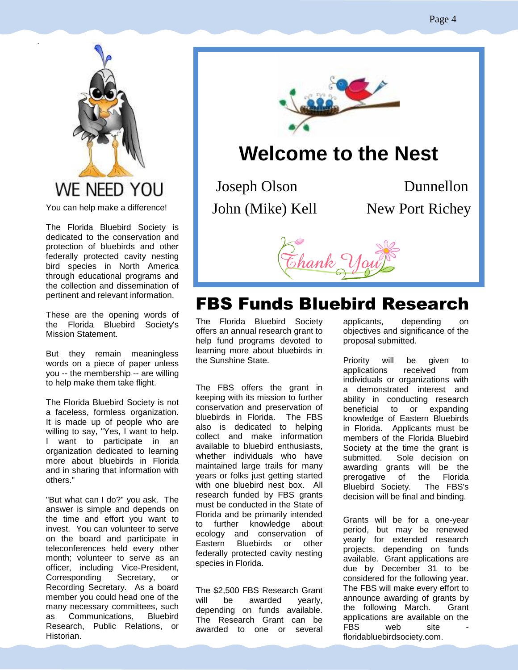

.

You can help make a difference!

The Florida Bluebird Society is dedicated to the conservation and protection of bluebirds and other federally protected cavity nesting bird species in North America through educational programs and the collection and dissemination of pertinent and relevant information.

These are the opening words of the Florida Bluebird Society's Mission Statement.

But they remain meaningless words on a piece of paper unless you -- the membership -- are willing to help make them take flight.

The Florida Bluebird Society is not a faceless, formless organization. It is made up of people who are willing to say, "Yes, I want to help. I want to participate in an organization dedicated to learning more about bluebirds in Florida and in sharing that information with others."

"But what can I do?" you ask. The answer is simple and depends on the time and effort you want to invest. You can volunteer to serve on the board and participate in teleconferences held every other month; volunteer to serve as an officer, including Vice-President, Corresponding Secretary, or Recording Secretary. As a board member you could head one of the many necessary committees, such as Communications, Bluebird Research, Public Relations, or Historian.



#### **Welcome to the Nest**

John (Mike) Kell New Port Richey

Joseph Olson Dunnellon



#### FBS Funds Bluebird Research

The Florida Bluebird Society offers an annual research grant to help fund programs devoted to learning more about bluebirds in the Sunshine State.

The FBS offers the grant in keeping with its mission to further conservation and preservation of bluebirds in Florida. The FBS also is dedicated to helping collect and make information available to bluebird enthusiasts, whether individuals who have maintained large trails for many years or folks just getting started with one bluebird nest box. All research funded by FBS grants must be conducted in the State of Florida and be primarily intended to further knowledge about ecology and conservation of Eastern Bluebirds or other federally protected cavity nesting species in Florida.

The \$2,500 FBS Research Grant will be awarded yearly, depending on funds available. The Research Grant can be awarded to one or several

applicants, depending on objectives and significance of the proposal submitted.

Priority will be given to applications received from individuals or organizations with a demonstrated interest and ability in conducting research beneficial to or expanding knowledge of Eastern Bluebirds in Florida. Applicants must be members of the Florida Bluebird Society at the time the grant is submitted. Sole decision on awarding grants will be the prerogative of the Florida Bluebird Society. The FBS's decision will be final and binding.

Grants will be for a one-year period, but may be renewed yearly for extended research projects, depending on funds available. Grant applications are due by December 31 to be considered for the following year. The FBS will make every effort to announce awarding of grants by the following March. Grant applications are available on the FBS web site floridabluebirdsociety.com.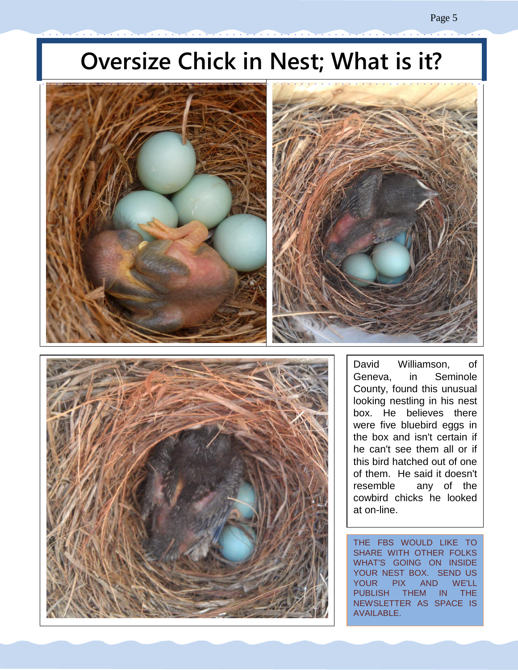#### **Oversize Chick in Nest; What is it?**







David Williamson, of Geneva, in Seminole County, found this unusual looking nestling in his nest box. He believes there were five bluebird eggs in the box and isn't certain if he can't see them all or if this bird hatched out of one of them. He said it doesn't resemble any of the cowbird chicks he looked at on-line.

THE FBS WOULD LIKE TO SHARE WITH OTHER FOLKS WHAT'S GOING ON INSIDE YOUR NEST BOX. SEND US YOUR PIX AND WE'LL PUBLISH THEM IN THE NEWSLETTER AS SPACE IS AVAILABLE.